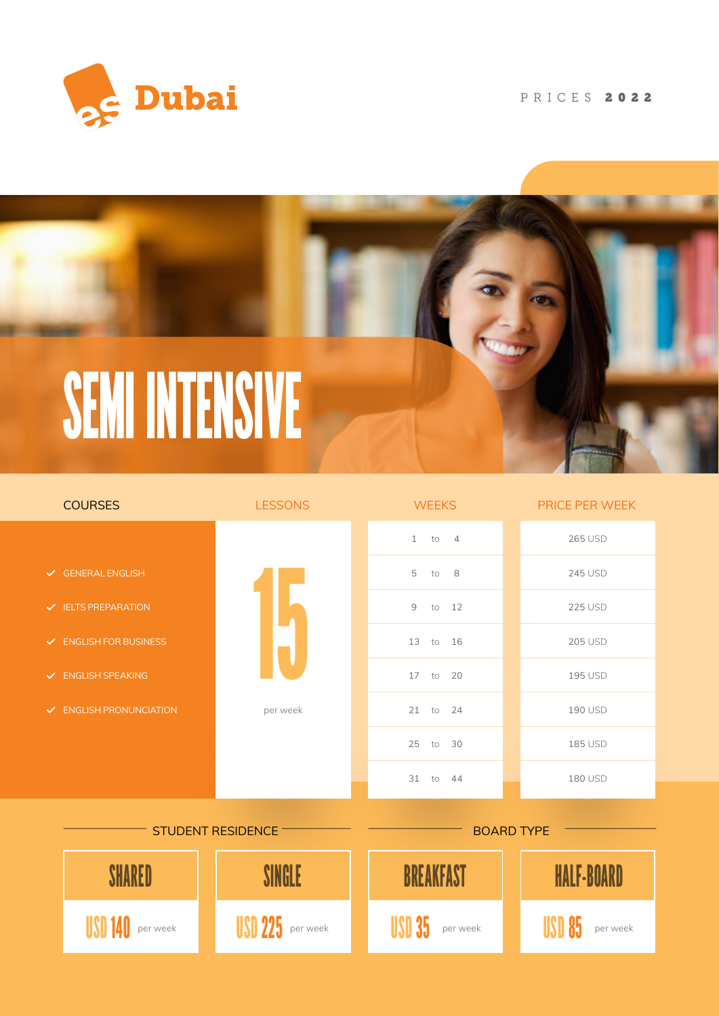

### PRICES 2022



| <b>COURSES</b>                     | <b>LESSONS</b> | <b>WEEKS</b>            | PRICE PER WEEK    |
|------------------------------------|----------------|-------------------------|-------------------|
|                                    |                | $1$ to $4$              | <b>265 USD</b>    |
| $\checkmark$ GENERAL ENGLISH       |                | 5<br>to 8               | <b>245 USD</b>    |
| $\checkmark$ IELTS PREPARATION     |                | $\overline{9}$<br>to 12 | <b>225 USD</b>    |
| $\checkmark$ ENGLISH FOR BUSINESS  |                | 13 to 16                | <b>205 USD</b>    |
| $\vee$ ENGLISH SPEAKING            |                | $17$ to<br>20           | 195 USD           |
| $\checkmark$ ENGLISH PRONUNCIATION | per week       | $21$ to<br>24           | 190 USD           |
|                                    |                | 25 to 30                | 185 USD           |
|                                    |                | 31 to 44                | 180 USD           |
| STUDENT RESIDENCE -                |                | <b>BOARD TYPE</b>       |                   |
|                                    | SINGI F        | <b>BREAKFAST</b>        | <b>HALF-BOARD</b> |

USD 140 per week **USD 225** per week **Per USD 35** per week **per USD 85** per week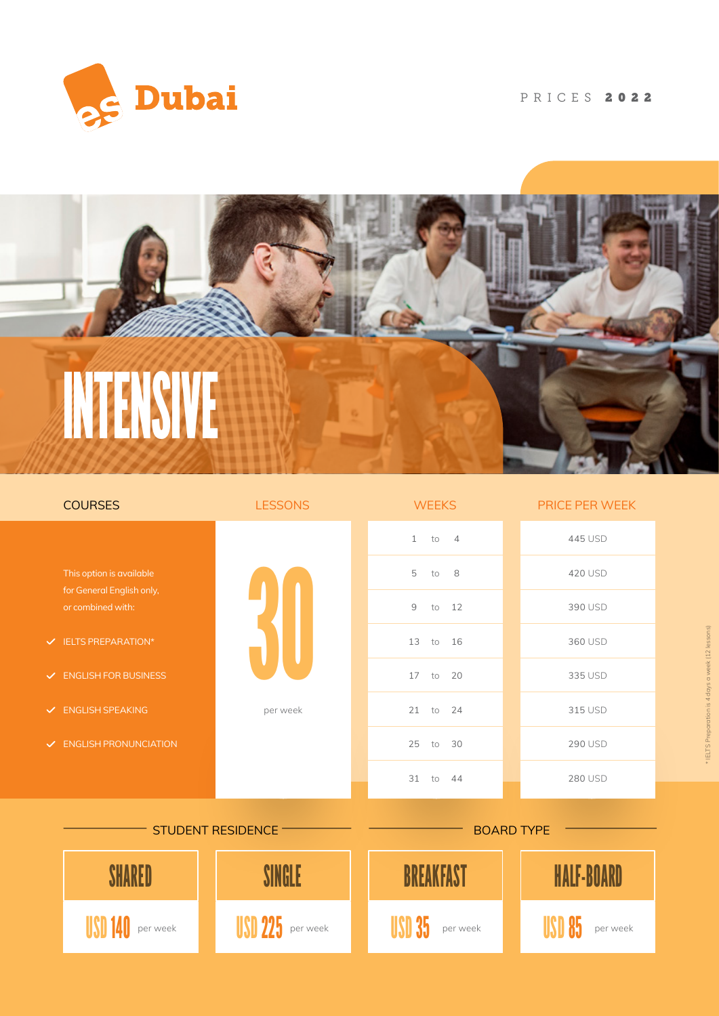

## PRICES 2022



| <b>COURSES</b>                           |                                                | <b>LESSONS</b> | <b>WEEKS</b>              | PRICE PER WEEK    |
|------------------------------------------|------------------------------------------------|----------------|---------------------------|-------------------|
|                                          |                                                |                | 1<br>to<br>$\overline{4}$ | 445 USD           |
|                                          | This option is available                       |                | 5<br>8<br>to              | 420 USD           |
|                                          | for General English only,<br>or combined with: |                | 9<br>12<br>to             | 390 USD           |
|                                          | $\checkmark$ IELTS PREPARATION*                |                | 13 to 16                  | 360 USD           |
|                                          | $\vee$ ENGLISH FOR BUSINESS                    |                | 17<br>to<br>20            | 335 USD           |
|                                          | $\checkmark$ ENGLISH SPEAKING                  | per week       | 21<br>to<br>24            | 315 USD           |
|                                          | $\checkmark$ ENGLISH PRONUNCIATION             |                | 25<br>to<br>30            | <b>290 USD</b>    |
|                                          |                                                |                | 31<br>to 44               | 280 USD           |
| STUDENT RESIDENCE -<br><b>BOARD TYPE</b> |                                                |                |                           |                   |
|                                          | SHARED                                         | SINGLE         | <b>BREAKFAST</b>          | <b>HALF-BOARD</b> |
|                                          | per week                                       | per week       | per week                  | per week          |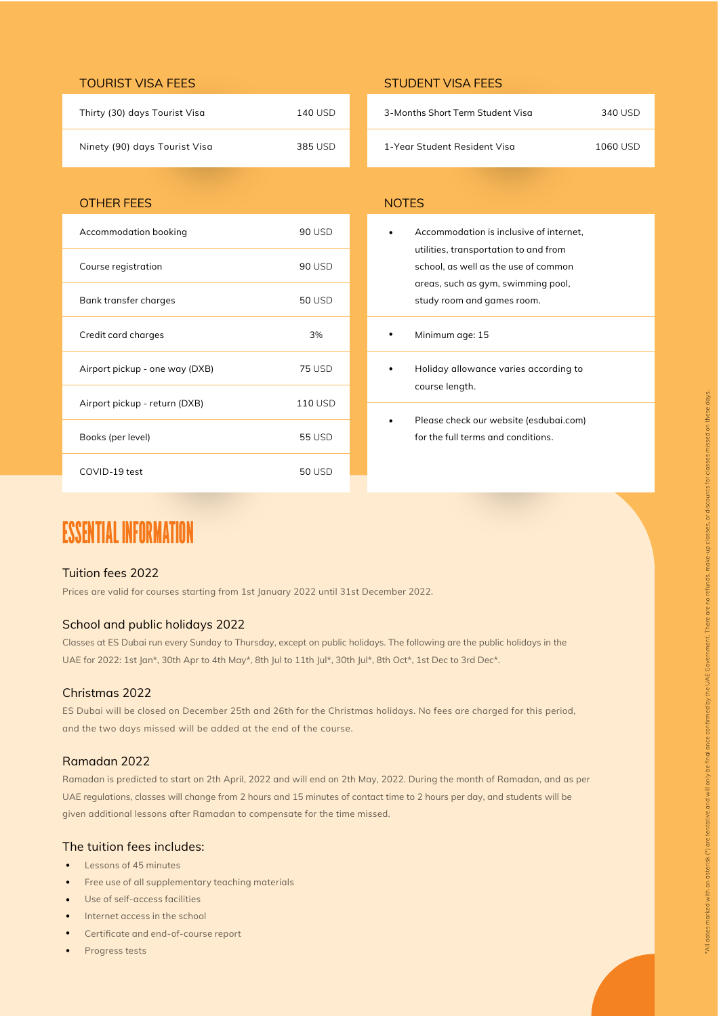### TOURIST VISA FEES STUDENT VISA FEES

| Thirty (30) days Tourist Visa | 140 USD |
|-------------------------------|---------|
| Ninety (90) days Tourist Visa | 385 USD |

### OTHER FEES NOTES

| Accommodation booking          | 90 USD         |
|--------------------------------|----------------|
| Course registration            | 90 USD         |
| Bank transfer charges          | <b>50 USD</b>  |
| Credit card charges            | 3%             |
| Airport pickup - one way (DXB) | <b>75 USD</b>  |
| Airport pickup - return (DXB)  | <b>110 USD</b> |
| Books (per level)              | 55 USD         |
| COVID-19 test                  | <b>50 USD</b>  |

## ESSENTIAL INFORMATION

### Tuition fees 2022

Prices are valid for courses starting from 1st January 2022 until 31st December 2022.

### School and public holidays 2022

Classes at ES Dubai run every Sunday to Thursday, except on public holidays. The following are the public holidays in the UAE for 2022: 1st Jan\*, 30th Apr to 4th May\*, 8th Jul to 11th Jul\*, 30th Jul\*, 8th Oct\*, 1st Dec to 3rd Dec\*.

### Christmas 2022

ES Dubai will be closed on December 25th and 26th for the Christmas holidays. No fees are charged for this period, and the two days missed will be added at the end of the course.

### Ramadan 2022

Ramadan is predicted to start on 2th April, 2022 and will end on 2th May, 2022. During the month of Ramadan, and as per UAE regulations, classes will change from 2 hours and 15 minutes of contact time to 2 hours per day, and students will be given additional lessons after Ramadan to compensate for the time missed.

### The tuition fees includes:

- Lessons of 45 minutes
- Free use of all supplementary teaching materials
- Use of self-access facilities ••••••
- Internet access in the school
- Certificate and end-of-course report
- Progress tests

| 3-Months Short Term Student Visa | 340 USD  |
|----------------------------------|----------|
| 1-Year Student Resident Visa     | 1060 USD |

| Accommodation is inclusive of internet,<br>utilities, transportation to and from<br>school, as well as the use of common<br>areas, such as gym, swimming pool, |
|----------------------------------------------------------------------------------------------------------------------------------------------------------------|
| study room and games room.                                                                                                                                     |
| Minimum age: 15                                                                                                                                                |
| Holiday allowance varies according to<br>course length.                                                                                                        |
| Please check our website (esdubai.com)                                                                                                                         |

- $\ddot{\phantom{0}}$ Holiday allowance varies according to course length.
- Please check our website (esdubai.com) for the full terms and conditions.